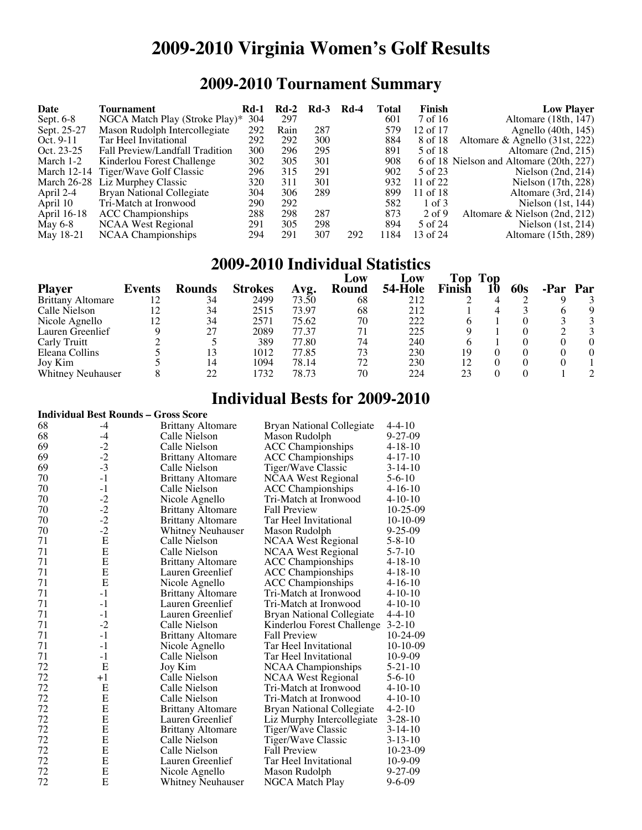# **2009-2010 Virginia Women's Golf Results**

# **2009-2010 Tournament Summary**

| Date        | Tournament                          | <b>Rd-1</b> | Kd-2 | $Rd-3$ | <b>Rd-4</b> | Total | Finish   | <b>Low Player</b>                        |
|-------------|-------------------------------------|-------------|------|--------|-------------|-------|----------|------------------------------------------|
| Sept. $6-8$ | NGCA Match Play (Stroke Play)*      | 304         | 297  |        |             | 601   | 7 of 16  | Altomare (18th, 147)                     |
| Sept. 25-27 | Mason Rudolph Intercollegiate       | 292         | Rain | 287    |             | 579   | 12 of 17 | Agnello $(40th, 145)$                    |
| Oct. $9-11$ | Tar Heel Invitational               | 292         | 292  | 300    |             | 884   | 8 of 18  | Altomare & Agnello $(31st, 222)$         |
| Oct. 23-25  | Fall Preview/Landfall Tradition     | 300         | 296  | 295    |             | 891   | 5 of 18  | Altomare (2nd, 215)                      |
| March 1-2   | Kinderlou Forest Challenge          | 302         | 305  | 301    |             | 908   |          | 6 of 18 Nielson and Altomare (20th, 227) |
|             | March 12-14 Tiger/Wave Golf Classic | 296         | 315  | 291    |             | 902   | 5 of 23  | Nielson $(2nd, 214)$                     |
|             | March 26-28 Liz Murphey Classic     | 320         | 311  | 301    |             | 932   | 11 of 22 | Nielson $(17th, 228)$                    |
| April 2-4   | <b>Bryan National Collegiate</b>    | 304         | 306  | 289    |             | 899   | 11 of 18 | Altomare (3rd, 214)                      |
| April 10    | Tri-Match at Ironwood               | 290         | 292  |        |             | 582   | 1 of 3   | Nielson $(1st, 144)$                     |
| April 16-18 | <b>ACC</b> Championships            | 288         | 298  | 287    |             | 873   | $2$ of 9 | Altomare & Nielson (2nd, 212)            |
| May 6-8     | NCAA West Regional                  | 291         | 305  | 298    |             | 894   | 5 of 24  | Nielson $(1st, 214)$                     |
| May 18-21   | NCAA Championships                  | 294         | 291  | 307    | 292         | 184   | 13 of 24 | Altomare $(15th, 289)$                   |

#### **2009-2010 Individual Statistics**

| <b>Player</b>            | Events | <b>Rounds</b> | <b>Strokes</b> | Avg.  | Low<br>Round | Low<br>54-Hole | Top<br>Finish | Top | 60s | Par. | Par      |
|--------------------------|--------|---------------|----------------|-------|--------------|----------------|---------------|-----|-----|------|----------|
| <b>Brittany Altomare</b> | 12     | 34            | 2499           | 73.50 | 68           | 212            |               |     |     |      |          |
| Calle Nielson            | 12     | 34            | 2515           | 73.97 | 68           | 212            |               |     |     |      | Q        |
| Nicole Agnello           | 12     | 34            | 2571           | 75.62 | 70           | 222            | 6             |     |     |      |          |
| Lauren Greenlief         |        | 27            | 2089           | 77.37 | 71           | 225            |               |     |     |      |          |
| Carly Truitt             |        |               | 389            | 77.80 | 74           | 240            |               |     |     |      | $\Omega$ |
| Eleana Collins           |        | 13            | 1012           | 77.85 | 73           | 230            | 19            |     |     |      | 0        |
| Joy Kim                  |        | 14            | 1094           | 78.14 | 72           | 230            | 12            |     |     |      |          |
| <b>Whitney Neuhauser</b> |        |               | 1732           | 78.73 | 70           | 224            | 23            |     |     |      |          |

### **Individual Bests for 2009-2010**

|                                             |      |                          | 111 VIUUAI DUSUS IVI 2007-2010   |               |  |  |  |
|---------------------------------------------|------|--------------------------|----------------------------------|---------------|--|--|--|
| <b>Individual Best Rounds - Gross Score</b> |      |                          |                                  |               |  |  |  |
| 68                                          | $-4$ | <b>Brittany Altomare</b> | Bryan National Collegiate        | $4 - 4 - 10$  |  |  |  |
| 68                                          | $-4$ | Calle Nielson            | Mason Rudolph                    | $9 - 27 - 09$ |  |  |  |
| 69                                          | $-2$ | Calle Nielson            | <b>ACC Championships</b>         | $4 - 18 - 10$ |  |  |  |
| 69                                          | $-2$ | <b>Brittany Altomare</b> | <b>ACC</b> Championships         | $4 - 17 - 10$ |  |  |  |
| 69                                          | $-3$ | Calle Nielson            | Tiger/Wave Classic               | $3-14-10$     |  |  |  |
| 70                                          | $-1$ | <b>Brittany Altomare</b> | <b>NCAA West Regional</b>        | 5-6-10        |  |  |  |
| 70                                          | $-1$ | Calle Nielson            | <b>ACC</b> Championships         | $4 - 16 - 10$ |  |  |  |
| 70                                          | $-2$ | Nicole Agnello           | Tri-Match at Ironwood            | $4 - 10 - 10$ |  |  |  |
| 70                                          | $-2$ | <b>Brittany Altomare</b> | <b>Fall Preview</b>              | 10-25-09      |  |  |  |
| 70                                          | $-2$ | <b>Brittany Altomare</b> | Tar Heel Invitational            | $10-10-09$    |  |  |  |
| 70                                          | $-2$ | <b>Whitney Neuhauser</b> | Mason Rudolph                    | $9 - 25 - 09$ |  |  |  |
| 71                                          | E    | Calle Nielson            | <b>NCAA West Regional</b>        | $5 - 8 - 10$  |  |  |  |
| 71                                          | E    | Calle Nielson            | <b>NCAA West Regional</b>        | $5 - 7 - 10$  |  |  |  |
| 71                                          | E    | <b>Brittany Altomare</b> | <b>ACC Championships</b>         | 4-18-10       |  |  |  |
| 71                                          | E    | Lauren Greenlief         | <b>ACC</b> Championships         | $4 - 18 - 10$ |  |  |  |
| 71                                          | E    | Nicole Agnello           | <b>ACC</b> Championships         | 4-16-10       |  |  |  |
| 71                                          | $-1$ | <b>Brittany Altomare</b> | Tri-Match at Ironwood            | 4-10-10       |  |  |  |
| 71                                          | $-1$ | Lauren Greenlief         | Tri-Match at Ironwood            | $4 - 10 - 10$ |  |  |  |
| 71                                          | $-1$ | Lauren Greenlief         | <b>Bryan National Collegiate</b> | $4 - 4 - 10$  |  |  |  |
| 71                                          | $-2$ | Calle Nielson            | Kinderlou Forest Challenge       | $3 - 2 - 10$  |  |  |  |
| 71                                          | $-1$ | <b>Brittany Altomare</b> | <b>Fall Preview</b>              | 10-24-09      |  |  |  |
| 71                                          | $-1$ | Nicole Agnello           | Tar Heel Invitational            | $10-10-09$    |  |  |  |
| 71                                          | $-1$ | Calle Nielson            | Tar Heel Invitational            | $10-9-09$     |  |  |  |
| 72                                          | E    | Joy Kim                  | NCAA Championships               | 5-21-10       |  |  |  |
| 72                                          | $+1$ | Calle Nielson            | NCAA West Regional               | 5-6-10        |  |  |  |
| 72                                          | E    | Calle Nielson            | Tri-Match at Ironwood            | 4-10-10       |  |  |  |
| 72                                          | E    | Calle Nielson            | Tri-Match at Ironwood            | $4 - 10 - 10$ |  |  |  |
| 72                                          | E    | <b>Brittany Altomare</b> | <b>Bryan National Collegiate</b> | $4 - 2 - 10$  |  |  |  |
| 72                                          | Е    | Lauren Greenlief         | Liz Murphy Intercollegiate       | $3 - 28 - 10$ |  |  |  |
| 72                                          | E    | <b>Brittany Altomare</b> | Tiger/Wave Classic               | $3-14-10$     |  |  |  |
| 72                                          | E    | Calle Nielson            | Tiger/Wave Classic               | $3 - 13 - 10$ |  |  |  |
| 72                                          | E    | Calle Nielson            | <b>Fall Preview</b>              | 10-23-09      |  |  |  |
| 72                                          | E    | Lauren Greenlief         | Tar Heel Invitational            | 10-9-09       |  |  |  |
| 72                                          | E    | Nicole Agnello           | Mason Rudolph                    | 9-27-09       |  |  |  |
| 72                                          | E    | Whitney Neuhauser        | NGCA Match Play                  | $9 - 6 - 09$  |  |  |  |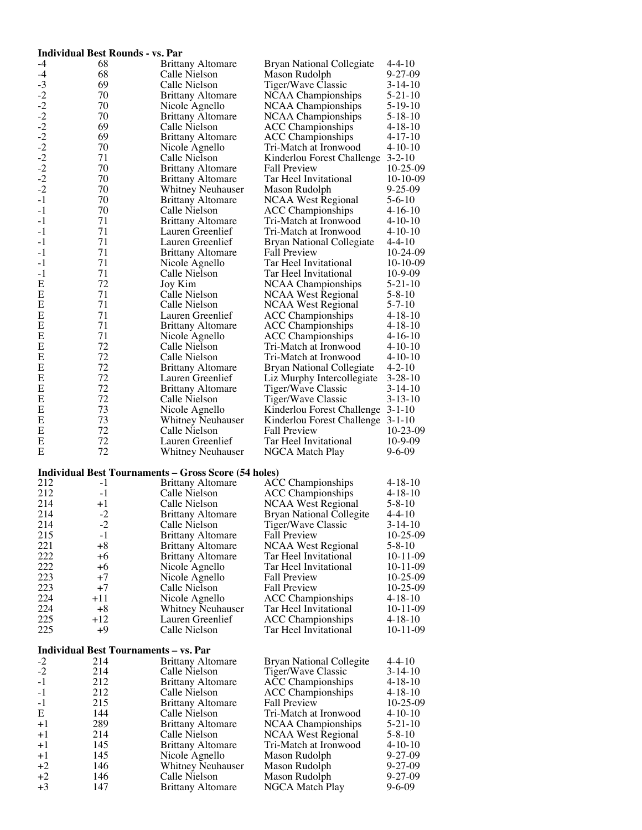#### **Individual Best Rounds - vs. Par**<br>-4 68 Brittany Altomare 4 68 Brittany Altomare Bryan National Collegiate 4-4-10<br>
4 68 Calle Nielson Mason Rudolph 9-27-09<br>
2 70 Brittany Altomare NCAA Championships 5-19-10<br>
2 70 Brittany Altomare NCAA Championships 5-19-10<br>
-2 70 Brittany Altoma -3 69 Calle Nielson Tiger/Wave Classic 3-14-10 70 Brittany Altomare NCAA Championships 5-21-10<br>70 12 Nicole Agnello - NCAA Championships 5-19-10<br>70 12 12 12 12 12 12 12 12 12 12 12 13-10 70 Brittany Altomare NCAA Championships 5-18-10<br>69 Calle Nielson ACC Championships 4-18-10 69 Calle Nielson ACC Championships 4-18-10<br>69 Brittany Altomare ACC Championships 4-17-10 69 Brittany Altomare ACC Championships 4-17-10<br>70 Nicole Agnello Tri-Match at Ironwood 4-10-10 -2 70 Nicole Agnello Tri-Match at Ironwood 4-10-10 71 Calle Nielson Kinderlou Forest Challenge 3-2-10<br>70 Brittany Altomare Fall Preview 10-25-09 70 Brittany Altomare Fall Preview 10-25-09<br>70 Brittany Altomare Tar Heel Invitational 10-10-09 70 Brittany Altomare Tar Heel Invitational 10-10-0<br>70 Whitney Neuhauser Mason Rudolph 9-25-09 -2 70 Whitney Neuhauser Mason Rudolph 9-25-09<br>-1 70 Brittany Altomare NCAA West Regional 5-6-10<br>-1 70 Calle Nielson ACC Championships 4-16-10 -1 70 Calle Nielson ACC Championships 4-16-10<br>-1 71 Brittany Altomare Tri-Match at Ironwood 4-10-10 <sup>-1</sup> 71 Lauren Greenlief Tri-Match at Ironwood 4-10-10<br><sup>-1</sup> 71 Lauren Greenlief Tri-Match at Ironwood 4-4-10 -1 71 Lauren Greenlief Bryan National Collegiate 4-4-10 -1 <sup>71</sup> Brittany Altomare Fall Preview 10-24-09 -1 <sup>71</sup> Nicole Agnello Tar Heel Invitational 10-10-09 <sup>-1</sup> 71 Calle Nielson Tar Heel Invitational 10-9-09<br>E 72 Joy Kim NCAA Championships 5-21-10 E 72 Joy Kim NCAA Championships 5-21-10<br>E 71 Calle Nielson NCAA West Regional 5-8-10 E 71 Calle Nielson NCAA West Regional 5-8-10<br>E 71 Calle Nielson NCAA West Regional 5-7-10 E 71 Calle Nielson NCAA West Regional 5-7-10<br>E 71 Lauren Greenlief ACC Championships 4-18-10 E 71 Lauren Greenlief ACC Championships<br>E 71 Brittany Altomare ACC Championships E 71 Brittany Altomare ACC Championships 4-18-10 E 71 Nicole Agnello ACC Championships 4-16-10 E 22 Calle Nielson Tri-Match at Ironwood 4-10-10<br>E 22 Calle Nielson Tri-Match at Ironwood 4-10-10 E 22 Calle Nielson Tri-Match at Ironwood 4-10-10<br>E 72 Brittany Altomare Bryan National Collegiate 4-2-10 E 72 Brittany Altomare Bryan National Collegiate 4-2-10<br>E 72 Lauren Greenlief Liz Murphy Intercollegiate 3-28-10 E 72 Lauren Greenlief Liz Murphy Intercollegiate<br>E 72 Brittany Altomare Tiger/Wave Classic E 72 Brittany Altomare Tiger/Wave Classic 3-14-10<br>E 72 Calle Nielson Tiger/Wave Classic 3-13-10 E 22 Calle Nielson Tiger/Wave Classic<br>E 23 Nicole Agnello Kinderlou Forest Ch E 73 Nicole Agnello Kinderlou Forest Challenge 3-1-10<br>E 73 Whitney Neuhauser Kinderlou Forest Challenge 3-1-10 E 73 Whitney Neuhauser Kinderlou Forest Challenge 3-1-10<br>E 72 Calle Nielson Fall Preview 10-23-09 The Text Calle Nielson Fall Preview 10-23-0<br>
Tan Heel Invitational 10-9-09 E 22 Lauren Greenlief Tar Heel Invitational 10-9-09<br>E 72 Whitney Neuhauser NGCA Match Play 9-6-09 Whitney Neuhauser NGCA Match Play **Individual Best Tournaments – Gross Score (54 holes)** 212 -1 Brittany Altomare ACC Championships 4-18-10<br>212 -1 Calle Nielson ACC Championships 4-18-10 212 -1 Calle Nielson ACC Championships 4-18-10<br>214 +1 Calle Nielson NCAA West Regional 5-8-10 214 +1 Calle Nielson NCAA West Regional 5-8-10<br>214 -2 Brittany Altomare Bryan National Collegite 4-4-10 214 -2 Brittany Altomare Bryan National Collegite 4-4-10<br>214 -2 Calle Nielson Tiger/Wave Classic 3-14-10 214 -2 Calle Nielson Tiger/Wave Classic 3-14-10<br>215 -1 Brittany Altomare Fall Preview 10-25-09 215 -1 Brittany Altomare Fall Preview 10-25-09<br>221 -8 Brittany Altomare NCAA West Regional 5-8-10 221 +8 Brittany Altomare NCAA West Regional 5-8-10 222 +6 Brittany Altomare Tar Heel Invitational 10-11-09 222 +6 Nicole Agnello Tar Heel Invitational<br>223 +7 Nicole Agnello Fall Preview 223 +7 Nicole Agnello Fall Preview 10-25-09 223 +7 Calle Nielson Fall Preview 10-25-09<br>224 +11 Nicole Agnello ACC Championships 4-18-10 224 +11 Nicole Agnello ACC Championships<br>224 +8 Whitney Neuhauser Tar Heel Invitational 224 +8 Whitney Neuhauser Tar Heel Invitational 10-11-09 225 +12 Lauren Greenlief ACC Championships<br>225 +9 Calle Nielson Tar Heel Invitational Calle Nielson Tar Heel Invitational 10-11-09 **Individual Best Tournaments – vs. Par**<br>-2 214 Brittany Altomare <sup>2</sup> 214 Brittany Altomare Bryan National Collegite 4-4-10<br>214 Calle Nielson Tiger/Wave Classic 3-14-10 -2 214 Calle Nielson Tiger/Wave Classic 3-14-10<br>-1 212 Brittany Altomare ACC Championships 4-18-10 <sup>-1</sup> 212 Brittany Altomare ACC Championships 4-18-10<br><sup>-1</sup> 212 Calle Nielson ACC Championships 4-18-10 -1 212 Calle Nielson ACC Championships 4-18-10<br>-1 215 Brittany Altomare Fall Preview 10-25-09 <sup>-1</sup> 215 Brittany Altomare Fall Preview 10-25-09<br>E 144 Calle Nielson Tri-Match at Ironwood 4-10-10 E 144 Calle Nielson Tri-Match at Ironwood 4-10-10<br>
+1 289 Brittany Altomare NCAA Championships 5-21-10 289 Brittany Altomare NCAA Championships 214 Calle Nielson NCAA West Regional +1 214 Calle Nielson NCAA West Regional 5-8-10<br>+1 145 Brittany Altomare Tri-Match at Ironwood 4-10-10 145 Brittany Altomare Tri-Match at Ironwood 4-10-10<br>145 Nicole Agnello Mason Rudolph 9-27-09 +1 145 Nicole Agnello Mason Rudolph 9-27-09 +2 146 Whitney Neuhauser Mason Rudolph 9-27-09 +2 146 Calle Nielson Mason Rudolph<br>
+3 147 Brittany Altomare NGCA Match P

147 Brittany Altomare NGCA Match Play 9-6-09